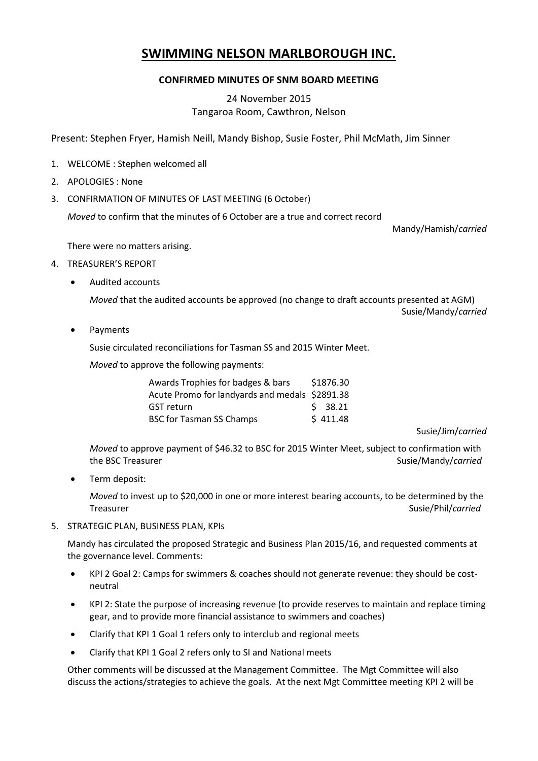## **SWIMMING NELSON MARLBOROUGH INC.**

## **CONFIRMED MINUTES OF SNM BOARD MEETING**

## 24 November 2015 Tangaroa Room, Cawthron, Nelson

Present: Stephen Fryer, Hamish Neill, Mandy Bishop, Susie Foster, Phil McMath, Jim Sinner

- 1. WELCOME : Stephen welcomed all
- 2. APOLOGIES : None
- 3. CONFIRMATION OF MINUTES OF LAST MEETING (6 October)

*Moved* to confirm that the minutes of 6 October are a true and correct record

Mandy/Hamish/*carried*

There were no matters arising.

- 4. TREASURER'S REPORT
	- Audited accounts

*Moved* that the audited accounts be approved (no change to draft accounts presented at AGM) Susie/Mandy/*carried*

Payments

Susie circulated reconciliations for Tasman SS and 2015 Winter Meet.

*Moved* to approve the following payments:

| Awards Trophies for badges & bars              | \$1876.30 |
|------------------------------------------------|-----------|
| Acute Promo for landyards and medals \$2891.38 |           |
| <b>GST</b> return                              | \$38.21   |
| <b>BSC for Tasman SS Champs</b>                | \$411.48  |

Susie/Jim/*carried*

*Moved* to approve payment of \$46.32 to BSC for 2015 Winter Meet, subject to confirmation with the BSC Treasurer Susie/Mandy/*carried* 

Term deposit:

*Moved* to invest up to \$20,000 in one or more interest bearing accounts, to be determined by the Treasurer Susie/Phil/*carried* 

5. STRATEGIC PLAN, BUSINESS PLAN, KPIs

Mandy has circulated the proposed Strategic and Business Plan 2015/16, and requested comments at the governance level. Comments:

- KPI 2 Goal 2: Camps for swimmers & coaches should not generate revenue: they should be costneutral
- KPI 2: State the purpose of increasing revenue (to provide reserves to maintain and replace timing gear, and to provide more financial assistance to swimmers and coaches)
- Clarify that KPI 1 Goal 1 refers only to interclub and regional meets
- Clarify that KPI 1 Goal 2 refers only to SI and National meets

Other comments will be discussed at the Management Committee. The Mgt Committee will also discuss the actions/strategies to achieve the goals. At the next Mgt Committee meeting KPI 2 will be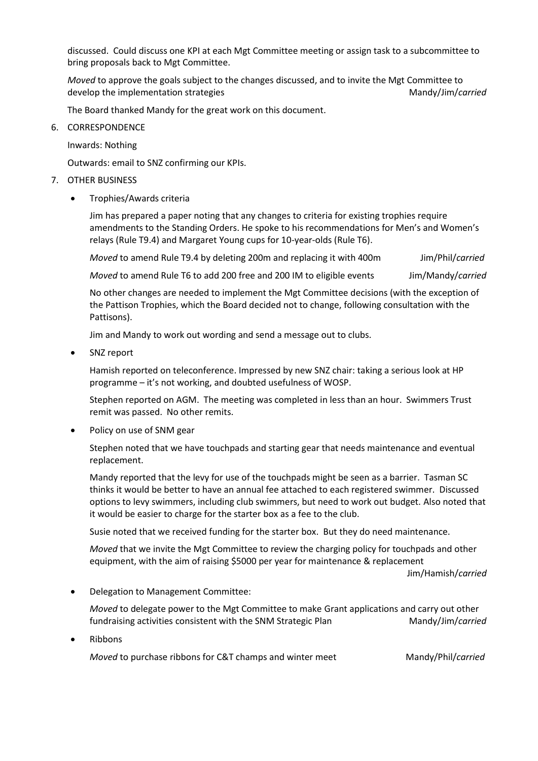discussed. Could discuss one KPI at each Mgt Committee meeting or assign task to a subcommittee to bring proposals back to Mgt Committee.

*Moved* to approve the goals subject to the changes discussed, and to invite the Mgt Committee to develop the implementation strategies Mandy/Jim/*carried* Mandy/Jim/*carried* 

The Board thanked Mandy for the great work on this document.

6. CORRESPONDENCE

Inwards: Nothing

Outwards: email to SNZ confirming our KPIs.

## 7. OTHER BUSINESS

Trophies/Awards criteria

Jim has prepared a paper noting that any changes to criteria for existing trophies require amendments to the Standing Orders. He spoke to his recommendations for Men's and Women's relays (Rule T9.4) and Margaret Young cups for 10-year-olds (Rule T6).

*Moved* to amend Rule T9.4 by deleting 200m and replacing it with 400m Jim/Phil/*carried* 

*Moved* to amend Rule T6 to add 200 free and 200 IM to eligible events Jim/Mandy/*carried* 

No other changes are needed to implement the Mgt Committee decisions (with the exception of the Pattison Trophies, which the Board decided not to change, following consultation with the Pattisons).

Jim and Mandy to work out wording and send a message out to clubs.

SNZ report

Hamish reported on teleconference. Impressed by new SNZ chair: taking a serious look at HP programme – it's not working, and doubted usefulness of WOSP.

Stephen reported on AGM. The meeting was completed in less than an hour. Swimmers Trust remit was passed. No other remits.

Policy on use of SNM gear

Stephen noted that we have touchpads and starting gear that needs maintenance and eventual replacement.

Mandy reported that the levy for use of the touchpads might be seen as a barrier. Tasman SC thinks it would be better to have an annual fee attached to each registered swimmer. Discussed options to levy swimmers, including club swimmers, but need to work out budget. Also noted that it would be easier to charge for the starter box as a fee to the club.

Susie noted that we received funding for the starter box. But they do need maintenance.

*Moved* that we invite the Mgt Committee to review the charging policy for touchpads and other equipment, with the aim of raising \$5000 per year for maintenance & replacement

Jim/Hamish/*carried*

Delegation to Management Committee:

*Moved* to delegate power to the Mgt Committee to make Grant applications and carry out other fundraising activities consistent with the SNM Strategic Plan Mandy/Jim/*carried* 

Ribbons

*Moved* to purchase ribbons for C&T champs and winter meet Mandy/Phil/*carried*